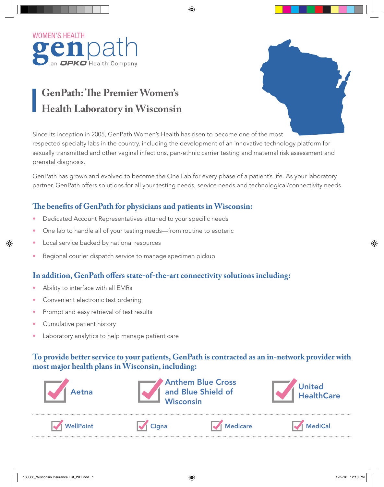

# **GenPath: The Premier Women's Health Laboratory in Wisconsin**



Since its inception in 2005, GenPath Women's Health has risen to become one of the most respected specialty labs in the country, including the development of an innovative technology platform for sexually transmitted and other vaginal infections, pan-ethnic carrier testing and maternal risk assessment and prenatal diagnosis.

GenPath has grown and evolved to become the One Lab for every phase of a patient's life. As your laboratory partner, GenPath offers solutions for all your testing needs, service needs and technological/connectivity needs.

### **The benefits of GenPath for physicians and patients in Wisconsin:**

- Dedicated Account Representatives attuned to your specific needs
- One lab to handle all of your testing needs—from routine to esoteric
- Local service backed by national resources
- Regional courier dispatch service to manage specimen pickup

### **In addition, GenPath offers state-of-the-art connectivity solutions including:**

- Ability to interface with all EMRs
- Convenient electronic test ordering
- Prompt and easy retrieval of test results
- Cumulative patient history
- Laboratory analytics to help manage patient care

### **To provide better service to your patients, GenPath is contracted as an in-network provider with most major health plans in Wisconsin, including:**



WellPoint  $\blacktriangleright$  Cigna Medicare  $\blacktriangleright$  Medicare  $\blacktriangleright$  MediCal